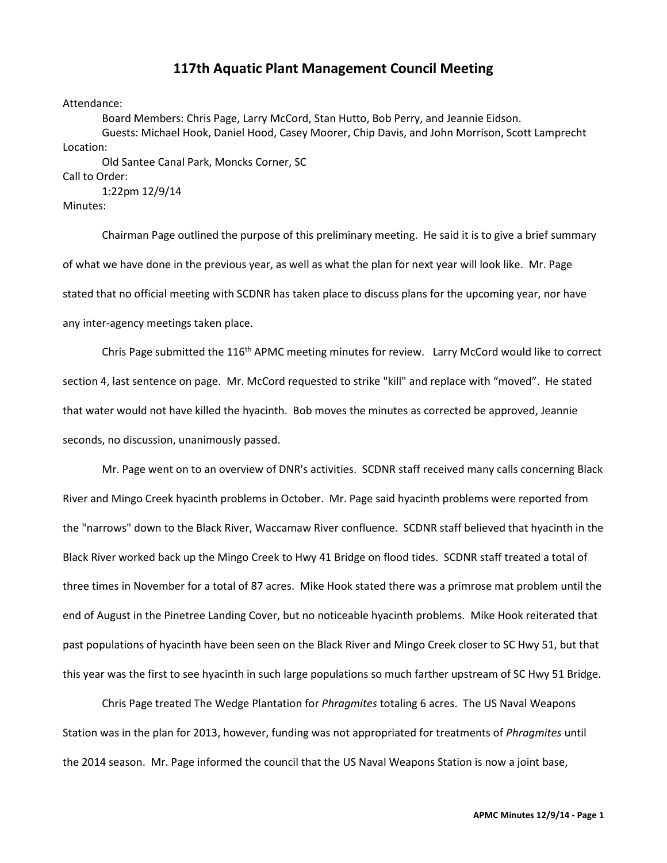## **117th Aquatic Plant Management Council Meeting**

## Attendance:

Board Members: Chris Page, Larry McCord, Stan Hutto, Bob Perry, and Jeannie Eidson. Guests: Michael Hook, Daniel Hood, Casey Moorer, Chip Davis, and John Morrison, Scott Lamprecht Location:

Old Santee Canal Park, Moncks Corner, SC

Call to Order:

1:22pm 12/9/14

Minutes:

Chairman Page outlined the purpose of this preliminary meeting. He said it is to give a brief summary of what we have done in the previous year, as well as what the plan for next year will look like. Mr. Page stated that no official meeting with SCDNR has taken place to discuss plans for the upcoming year, nor have any inter-agency meetings taken place.

Chris Page submitted the 116<sup>th</sup> APMC meeting minutes for review. Larry McCord would like to correct section 4, last sentence on page. Mr. McCord requested to strike "kill" and replace with "moved". He stated that water would not have killed the hyacinth. Bob moves the minutes as corrected be approved, Jeannie seconds, no discussion, unanimously passed.

Mr. Page went on to an overview of DNR's activities. SCDNR staff received many calls concerning Black River and Mingo Creek hyacinth problems in October. Mr. Page said hyacinth problems were reported from the "narrows" down to the Black River, Waccamaw River confluence. SCDNR staff believed that hyacinth in the Black River worked back up the Mingo Creek to Hwy 41 Bridge on flood tides. SCDNR staff treated a total of three times in November for a total of 87 acres. Mike Hook stated there was a primrose mat problem until the end of August in the Pinetree Landing Cover, but no noticeable hyacinth problems. Mike Hook reiterated that past populations of hyacinth have been seen on the Black River and Mingo Creek closer to SC Hwy 51, but that this year was the first to see hyacinth in such large populations so much farther upstream of SC Hwy 51 Bridge.

Chris Page treated The Wedge Plantation for *Phragmites* totaling 6 acres. The US Naval Weapons Station was in the plan for 2013, however, funding was not appropriated for treatments of *Phragmites* until the 2014 season. Mr. Page informed the council that the US Naval Weapons Station is now a joint base,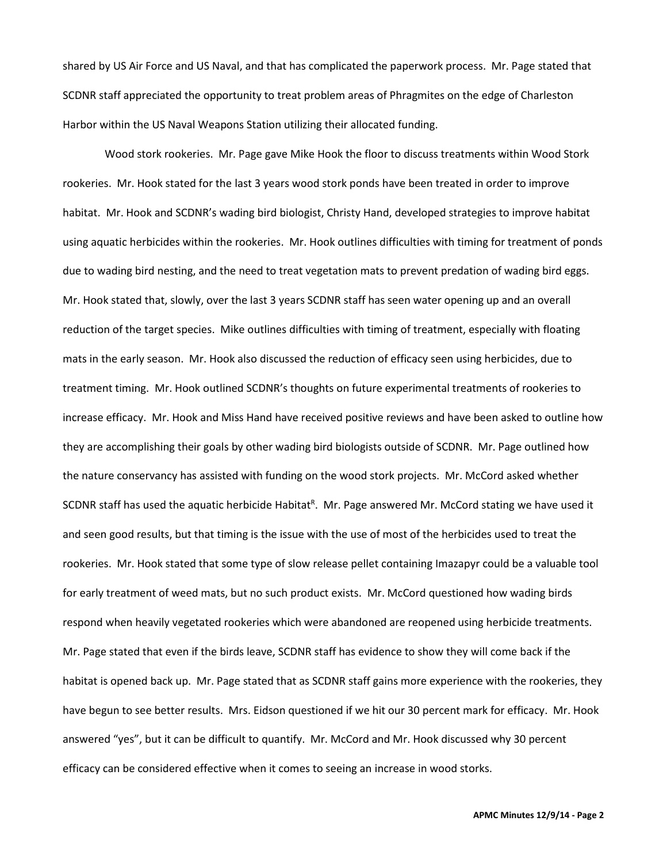shared by US Air Force and US Naval, and that has complicated the paperwork process. Mr. Page stated that SCDNR staff appreciated the opportunity to treat problem areas of Phragmites on the edge of Charleston Harbor within the US Naval Weapons Station utilizing their allocated funding.

Wood stork rookeries. Mr. Page gave Mike Hook the floor to discuss treatments within Wood Stork rookeries. Mr. Hook stated for the last 3 years wood stork ponds have been treated in order to improve habitat. Mr. Hook and SCDNR's wading bird biologist, Christy Hand, developed strategies to improve habitat using aquatic herbicides within the rookeries. Mr. Hook outlines difficulties with timing for treatment of ponds due to wading bird nesting, and the need to treat vegetation mats to prevent predation of wading bird eggs. Mr. Hook stated that, slowly, over the last 3 years SCDNR staff has seen water opening up and an overall reduction of the target species. Mike outlines difficulties with timing of treatment, especially with floating mats in the early season. Mr. Hook also discussed the reduction of efficacy seen using herbicides, due to treatment timing. Mr. Hook outlined SCDNR's thoughts on future experimental treatments of rookeries to increase efficacy. Mr. Hook and Miss Hand have received positive reviews and have been asked to outline how they are accomplishing their goals by other wading bird biologists outside of SCDNR. Mr. Page outlined how the nature conservancy has assisted with funding on the wood stork projects. Mr. McCord asked whether SCDNR staff has used the aquatic herbicide Habitat<sup>R</sup>. Mr. Page answered Mr. McCord stating we have used it and seen good results, but that timing is the issue with the use of most of the herbicides used to treat the rookeries. Mr. Hook stated that some type of slow release pellet containing Imazapyr could be a valuable tool for early treatment of weed mats, but no such product exists. Mr. McCord questioned how wading birds respond when heavily vegetated rookeries which were abandoned are reopened using herbicide treatments. Mr. Page stated that even if the birds leave, SCDNR staff has evidence to show they will come back if the habitat is opened back up. Mr. Page stated that as SCDNR staff gains more experience with the rookeries, they have begun to see better results. Mrs. Eidson questioned if we hit our 30 percent mark for efficacy. Mr. Hook answered "yes", but it can be difficult to quantify. Mr. McCord and Mr. Hook discussed why 30 percent efficacy can be considered effective when it comes to seeing an increase in wood storks.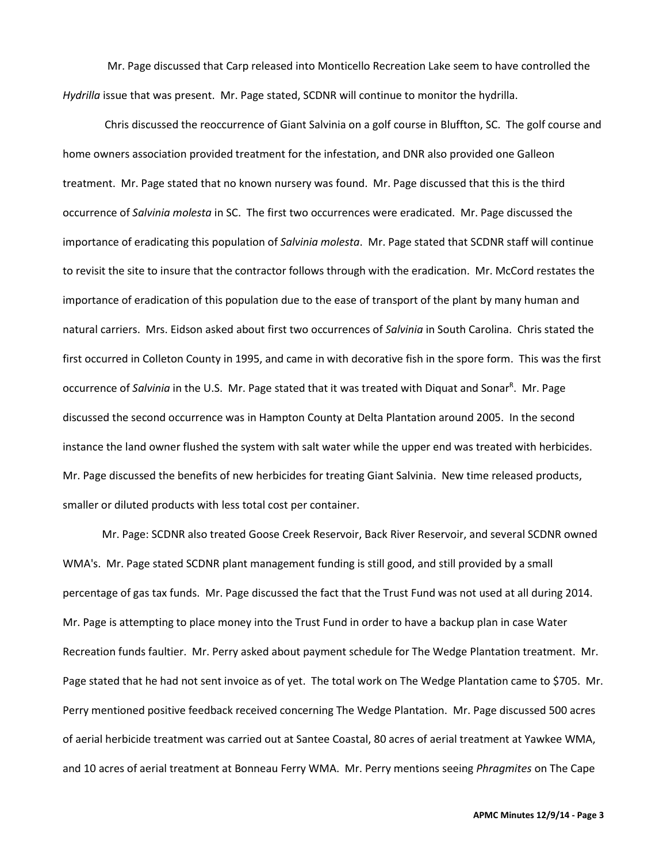Mr. Page discussed that Carp released into Monticello Recreation Lake seem to have controlled the *Hydrilla* issue that was present. Mr. Page stated, SCDNR will continue to monitor the hydrilla.

Chris discussed the reoccurrence of Giant Salvinia on a golf course in Bluffton, SC. The golf course and home owners association provided treatment for the infestation, and DNR also provided one Galleon treatment. Mr. Page stated that no known nursery was found. Mr. Page discussed that this is the third occurrence of *Salvinia molesta* in SC. The first two occurrences were eradicated. Mr. Page discussed the importance of eradicating this population of *Salvinia molesta*. Mr. Page stated that SCDNR staff will continue to revisit the site to insure that the contractor follows through with the eradication. Mr. McCord restates the importance of eradication of this population due to the ease of transport of the plant by many human and natural carriers. Mrs. Eidson asked about first two occurrences of *Salvinia* in South Carolina. Chris stated the first occurred in Colleton County in 1995, and came in with decorative fish in the spore form. This was the first occurrence of Salvinia in the U.S. Mr. Page stated that it was treated with Diquat and Sonar<sup>R</sup>. Mr. Page discussed the second occurrence was in Hampton County at Delta Plantation around 2005. In the second instance the land owner flushed the system with salt water while the upper end was treated with herbicides. Mr. Page discussed the benefits of new herbicides for treating Giant Salvinia. New time released products, smaller or diluted products with less total cost per container.

Mr. Page: SCDNR also treated Goose Creek Reservoir, Back River Reservoir, and several SCDNR owned WMA's. Mr. Page stated SCDNR plant management funding is still good, and still provided by a small percentage of gas tax funds. Mr. Page discussed the fact that the Trust Fund was not used at all during 2014. Mr. Page is attempting to place money into the Trust Fund in order to have a backup plan in case Water Recreation funds faultier. Mr. Perry asked about payment schedule for The Wedge Plantation treatment. Mr. Page stated that he had not sent invoice as of yet. The total work on The Wedge Plantation came to \$705. Mr. Perry mentioned positive feedback received concerning The Wedge Plantation. Mr. Page discussed 500 acres of aerial herbicide treatment was carried out at Santee Coastal, 80 acres of aerial treatment at Yawkee WMA, and 10 acres of aerial treatment at Bonneau Ferry WMA. Mr. Perry mentions seeing *Phragmites* on The Cape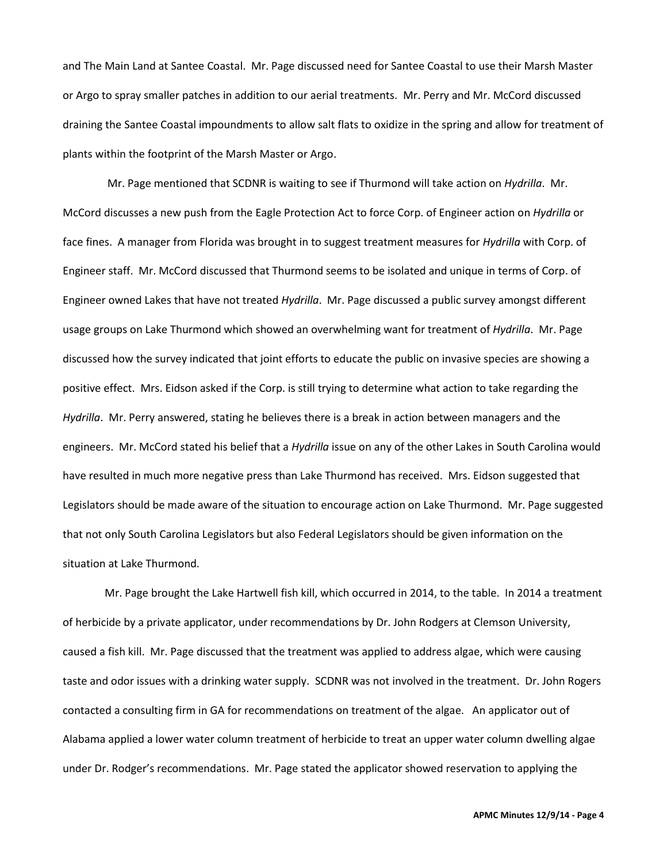and The Main Land at Santee Coastal. Mr. Page discussed need for Santee Coastal to use their Marsh Master or Argo to spray smaller patches in addition to our aerial treatments. Mr. Perry and Mr. McCord discussed draining the Santee Coastal impoundments to allow salt flats to oxidize in the spring and allow for treatment of plants within the footprint of the Marsh Master or Argo.

 Mr. Page mentioned that SCDNR is waiting to see if Thurmond will take action on *Hydrilla*. Mr. McCord discusses a new push from the Eagle Protection Act to force Corp. of Engineer action on *Hydrilla* or face fines. A manager from Florida was brought in to suggest treatment measures for *Hydrilla* with Corp. of Engineer staff. Mr. McCord discussed that Thurmond seems to be isolated and unique in terms of Corp. of Engineer owned Lakes that have not treated *Hydrilla*. Mr. Page discussed a public survey amongst different usage groups on Lake Thurmond which showed an overwhelming want for treatment of *Hydrilla*. Mr. Page discussed how the survey indicated that joint efforts to educate the public on invasive species are showing a positive effect. Mrs. Eidson asked if the Corp. is still trying to determine what action to take regarding the *Hydrilla*. Mr. Perry answered, stating he believes there is a break in action between managers and the engineers. Mr. McCord stated his belief that a *Hydrilla* issue on any of the other Lakes in South Carolina would have resulted in much more negative press than Lake Thurmond has received. Mrs. Eidson suggested that Legislators should be made aware of the situation to encourage action on Lake Thurmond. Mr. Page suggested that not only South Carolina Legislators but also Federal Legislators should be given information on the situation at Lake Thurmond.

Mr. Page brought the Lake Hartwell fish kill, which occurred in 2014, to the table. In 2014 a treatment of herbicide by a private applicator, under recommendations by Dr. John Rodgers at Clemson University, caused a fish kill. Mr. Page discussed that the treatment was applied to address algae, which were causing taste and odor issues with a drinking water supply. SCDNR was not involved in the treatment. Dr. John Rogers contacted a consulting firm in GA for recommendations on treatment of the algae. An applicator out of Alabama applied a lower water column treatment of herbicide to treat an upper water column dwelling algae under Dr. Rodger's recommendations. Mr. Page stated the applicator showed reservation to applying the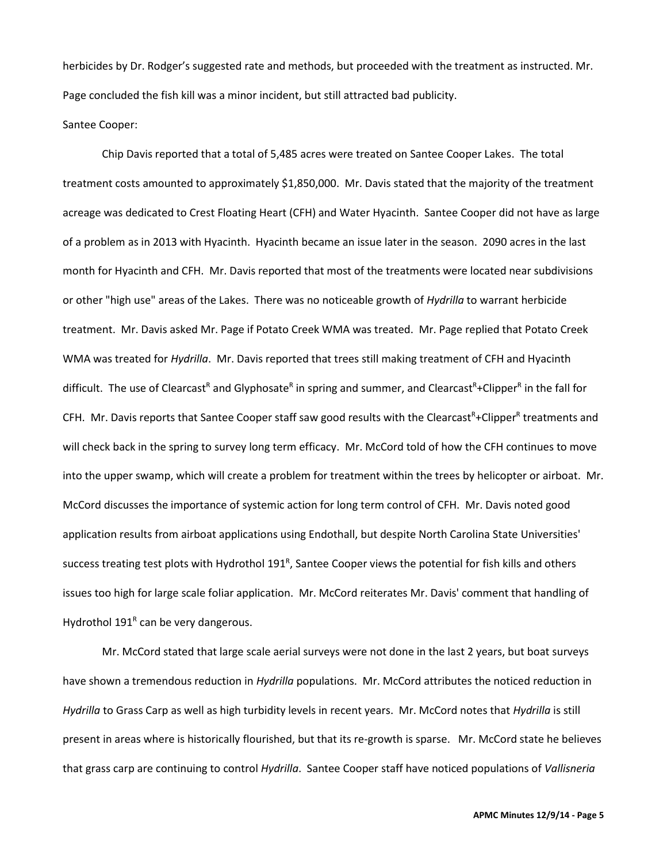herbicides by Dr. Rodger's suggested rate and methods, but proceeded with the treatment as instructed. Mr. Page concluded the fish kill was a minor incident, but still attracted bad publicity.

Santee Cooper:

Chip Davis reported that a total of 5,485 acres were treated on Santee Cooper Lakes. The total treatment costs amounted to approximately \$1,850,000. Mr. Davis stated that the majority of the treatment acreage was dedicated to Crest Floating Heart (CFH) and Water Hyacinth. Santee Cooper did not have as large of a problem as in 2013 with Hyacinth. Hyacinth became an issue later in the season. 2090 acres in the last month for Hyacinth and CFH. Mr. Davis reported that most of the treatments were located near subdivisions or other "high use" areas of the Lakes. There was no noticeable growth of *Hydrilla* to warrant herbicide treatment. Mr. Davis asked Mr. Page if Potato Creek WMA was treated. Mr. Page replied that Potato Creek WMA was treated for *Hydrilla*. Mr. Davis reported that trees still making treatment of CFH and Hyacinth difficult. The use of Clearcast<sup>R</sup> and Glyphosate<sup>R</sup> in spring and summer, and Clearcast<sup>R</sup>+Clipper<sup>R</sup> in the fall for CFH. Mr. Davis reports that Santee Cooper staff saw good results with the Clearcast<sup>R</sup>+Clipper<sup>R</sup> treatments and will check back in the spring to survey long term efficacy. Mr. McCord told of how the CFH continues to move into the upper swamp, which will create a problem for treatment within the trees by helicopter or airboat. Mr. McCord discusses the importance of systemic action for long term control of CFH. Mr. Davis noted good application results from airboat applications using Endothall, but despite North Carolina State Universities' success treating test plots with Hydrothol 191<sup>R</sup>, Santee Cooper views the potential for fish kills and others issues too high for large scale foliar application. Mr. McCord reiterates Mr. Davis' comment that handling of Hydrothol 191<sup>R</sup> can be very dangerous.

Mr. McCord stated that large scale aerial surveys were not done in the last 2 years, but boat surveys have shown a tremendous reduction in *Hydrilla* populations. Mr. McCord attributes the noticed reduction in *Hydrilla* to Grass Carp as well as high turbidity levels in recent years. Mr. McCord notes that *Hydrilla* is still present in areas where is historically flourished, but that its re-growth is sparse. Mr. McCord state he believes that grass carp are continuing to control *Hydrilla*. Santee Cooper staff have noticed populations of *Vallisneria*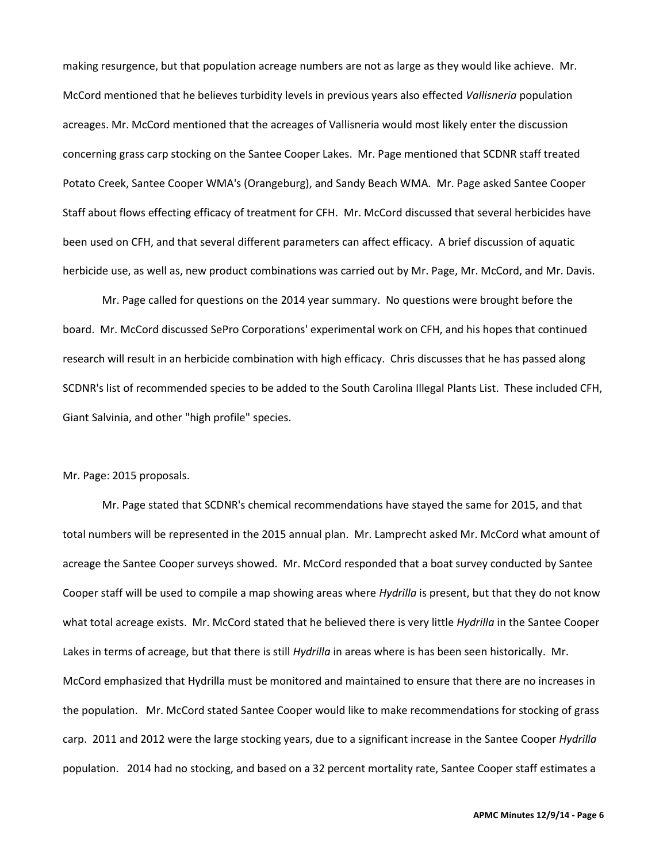making resurgence, but that population acreage numbers are not as large as they would like achieve. Mr. McCord mentioned that he believes turbidity levels in previous years also effected *Vallisneria* population acreages. Mr. McCord mentioned that the acreages of Vallisneria would most likely enter the discussion concerning grass carp stocking on the Santee Cooper Lakes. Mr. Page mentioned that SCDNR staff treated Potato Creek, Santee Cooper WMA's (Orangeburg), and Sandy Beach WMA. Mr. Page asked Santee Cooper Staff about flows effecting efficacy of treatment for CFH. Mr. McCord discussed that several herbicides have been used on CFH, and that several different parameters can affect efficacy. A brief discussion of aquatic herbicide use, as well as, new product combinations was carried out by Mr. Page, Mr. McCord, and Mr. Davis.

Mr. Page called for questions on the 2014 year summary. No questions were brought before the board. Mr. McCord discussed SePro Corporations' experimental work on CFH, and his hopes that continued research will result in an herbicide combination with high efficacy. Chris discusses that he has passed along SCDNR's list of recommended species to be added to the South Carolina Illegal Plants List. These included CFH, Giant Salvinia, and other "high profile" species.

## Mr. Page: 2015 proposals.

Mr. Page stated that SCDNR's chemical recommendations have stayed the same for 2015, and that total numbers will be represented in the 2015 annual plan. Mr. Lamprecht asked Mr. McCord what amount of acreage the Santee Cooper surveys showed. Mr. McCord responded that a boat survey conducted by Santee Cooper staff will be used to compile a map showing areas where *Hydrilla* is present, but that they do not know what total acreage exists. Mr. McCord stated that he believed there is very little *Hydrilla* in the Santee Cooper Lakes in terms of acreage, but that there is still *Hydrilla* in areas where is has been seen historically. Mr. McCord emphasized that Hydrilla must be monitored and maintained to ensure that there are no increases in the population. Mr. McCord stated Santee Cooper would like to make recommendations for stocking of grass carp. 2011 and 2012 were the large stocking years, due to a significant increase in the Santee Cooper *Hydrilla* population. 2014 had no stocking, and based on a 32 percent mortality rate, Santee Cooper staff estimates a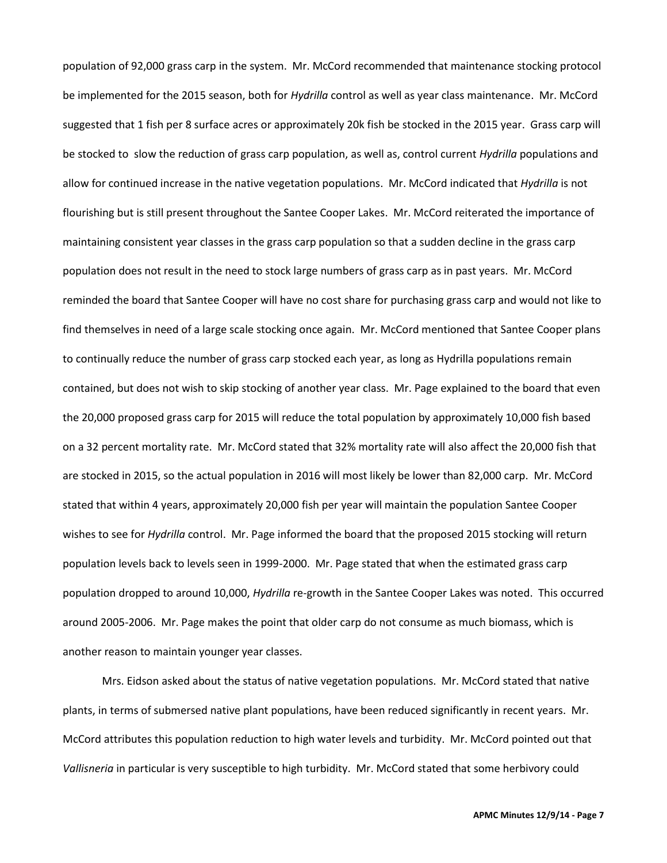population of 92,000 grass carp in the system. Mr. McCord recommended that maintenance stocking protocol be implemented for the 2015 season, both for *Hydrilla* control as well as year class maintenance. Mr. McCord suggested that 1 fish per 8 surface acres or approximately 20k fish be stocked in the 2015 year. Grass carp will be stocked to slow the reduction of grass carp population, as well as, control current *Hydrilla* populations and allow for continued increase in the native vegetation populations. Mr. McCord indicated that *Hydrilla* is not flourishing but is still present throughout the Santee Cooper Lakes. Mr. McCord reiterated the importance of maintaining consistent year classes in the grass carp population so that a sudden decline in the grass carp population does not result in the need to stock large numbers of grass carp as in past years. Mr. McCord reminded the board that Santee Cooper will have no cost share for purchasing grass carp and would not like to find themselves in need of a large scale stocking once again. Mr. McCord mentioned that Santee Cooper plans to continually reduce the number of grass carp stocked each year, as long as Hydrilla populations remain contained, but does not wish to skip stocking of another year class. Mr. Page explained to the board that even the 20,000 proposed grass carp for 2015 will reduce the total population by approximately 10,000 fish based on a 32 percent mortality rate. Mr. McCord stated that 32% mortality rate will also affect the 20,000 fish that are stocked in 2015, so the actual population in 2016 will most likely be lower than 82,000 carp. Mr. McCord stated that within 4 years, approximately 20,000 fish per year will maintain the population Santee Cooper wishes to see for *Hydrilla* control. Mr. Page informed the board that the proposed 2015 stocking will return population levels back to levels seen in 1999-2000. Mr. Page stated that when the estimated grass carp population dropped to around 10,000, *Hydrilla* re-growth in the Santee Cooper Lakes was noted. This occurred around 2005-2006. Mr. Page makes the point that older carp do not consume as much biomass, which is another reason to maintain younger year classes.

Mrs. Eidson asked about the status of native vegetation populations. Mr. McCord stated that native plants, in terms of submersed native plant populations, have been reduced significantly in recent years. Mr. McCord attributes this population reduction to high water levels and turbidity. Mr. McCord pointed out that *Vallisneria* in particular is very susceptible to high turbidity. Mr. McCord stated that some herbivory could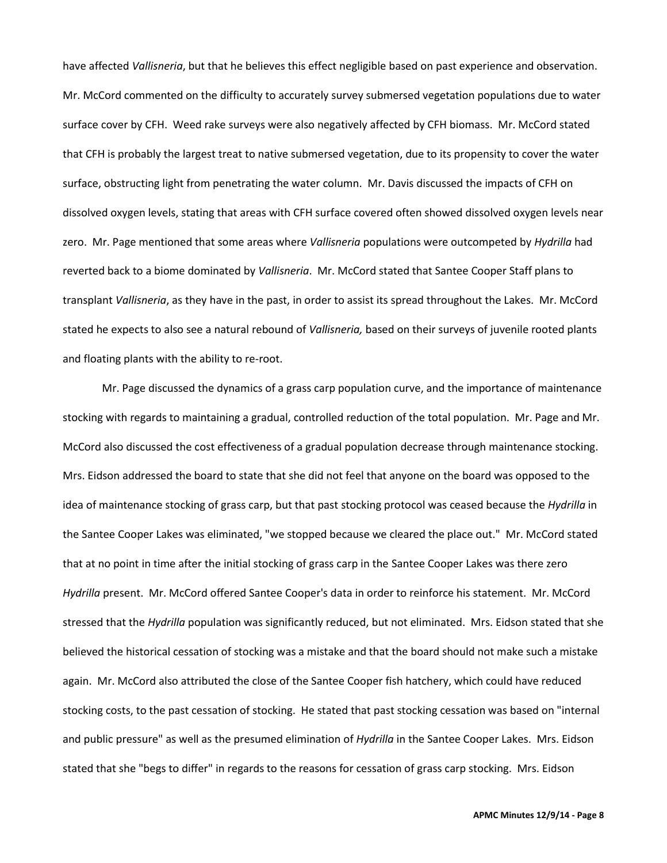have affected *Vallisneria*, but that he believes this effect negligible based on past experience and observation. Mr. McCord commented on the difficulty to accurately survey submersed vegetation populations due to water surface cover by CFH. Weed rake surveys were also negatively affected by CFH biomass. Mr. McCord stated that CFH is probably the largest treat to native submersed vegetation, due to its propensity to cover the water surface, obstructing light from penetrating the water column. Mr. Davis discussed the impacts of CFH on dissolved oxygen levels, stating that areas with CFH surface covered often showed dissolved oxygen levels near zero. Mr. Page mentioned that some areas where *Vallisneria* populations were outcompeted by *Hydrilla* had reverted back to a biome dominated by *Vallisneria*. Mr. McCord stated that Santee Cooper Staff plans to transplant *Vallisneria*, as they have in the past, in order to assist its spread throughout the Lakes. Mr. McCord stated he expects to also see a natural rebound of *Vallisneria,* based on their surveys of juvenile rooted plants and floating plants with the ability to re-root.

Mr. Page discussed the dynamics of a grass carp population curve, and the importance of maintenance stocking with regards to maintaining a gradual, controlled reduction of the total population. Mr. Page and Mr. McCord also discussed the cost effectiveness of a gradual population decrease through maintenance stocking. Mrs. Eidson addressed the board to state that she did not feel that anyone on the board was opposed to the idea of maintenance stocking of grass carp, but that past stocking protocol was ceased because the *Hydrilla* in the Santee Cooper Lakes was eliminated, "we stopped because we cleared the place out." Mr. McCord stated that at no point in time after the initial stocking of grass carp in the Santee Cooper Lakes was there zero *Hydrilla* present. Mr. McCord offered Santee Cooper's data in order to reinforce his statement. Mr. McCord stressed that the *Hydrilla* population was significantly reduced, but not eliminated. Mrs. Eidson stated that she believed the historical cessation of stocking was a mistake and that the board should not make such a mistake again. Mr. McCord also attributed the close of the Santee Cooper fish hatchery, which could have reduced stocking costs, to the past cessation of stocking. He stated that past stocking cessation was based on "internal and public pressure" as well as the presumed elimination of *Hydrilla* in the Santee Cooper Lakes. Mrs. Eidson stated that she "begs to differ" in regards to the reasons for cessation of grass carp stocking. Mrs. Eidson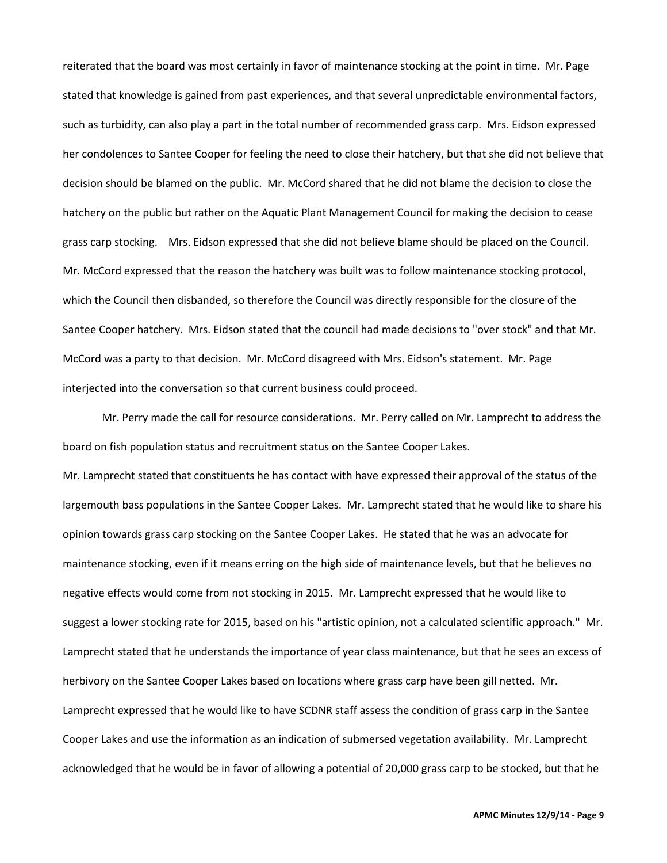reiterated that the board was most certainly in favor of maintenance stocking at the point in time. Mr. Page stated that knowledge is gained from past experiences, and that several unpredictable environmental factors, such as turbidity, can also play a part in the total number of recommended grass carp. Mrs. Eidson expressed her condolences to Santee Cooper for feeling the need to close their hatchery, but that she did not believe that decision should be blamed on the public. Mr. McCord shared that he did not blame the decision to close the hatchery on the public but rather on the Aquatic Plant Management Council for making the decision to cease grass carp stocking. Mrs. Eidson expressed that she did not believe blame should be placed on the Council. Mr. McCord expressed that the reason the hatchery was built was to follow maintenance stocking protocol, which the Council then disbanded, so therefore the Council was directly responsible for the closure of the Santee Cooper hatchery. Mrs. Eidson stated that the council had made decisions to "over stock" and that Mr. McCord was a party to that decision. Mr. McCord disagreed with Mrs. Eidson's statement. Mr. Page interjected into the conversation so that current business could proceed.

Mr. Perry made the call for resource considerations. Mr. Perry called on Mr. Lamprecht to address the board on fish population status and recruitment status on the Santee Cooper Lakes. Mr. Lamprecht stated that constituents he has contact with have expressed their approval of the status of the largemouth bass populations in the Santee Cooper Lakes. Mr. Lamprecht stated that he would like to share his opinion towards grass carp stocking on the Santee Cooper Lakes. He stated that he was an advocate for maintenance stocking, even if it means erring on the high side of maintenance levels, but that he believes no negative effects would come from not stocking in 2015. Mr. Lamprecht expressed that he would like to suggest a lower stocking rate for 2015, based on his "artistic opinion, not a calculated scientific approach." Mr. Lamprecht stated that he understands the importance of year class maintenance, but that he sees an excess of herbivory on the Santee Cooper Lakes based on locations where grass carp have been gill netted. Mr. Lamprecht expressed that he would like to have SCDNR staff assess the condition of grass carp in the Santee Cooper Lakes and use the information as an indication of submersed vegetation availability. Mr. Lamprecht acknowledged that he would be in favor of allowing a potential of 20,000 grass carp to be stocked, but that he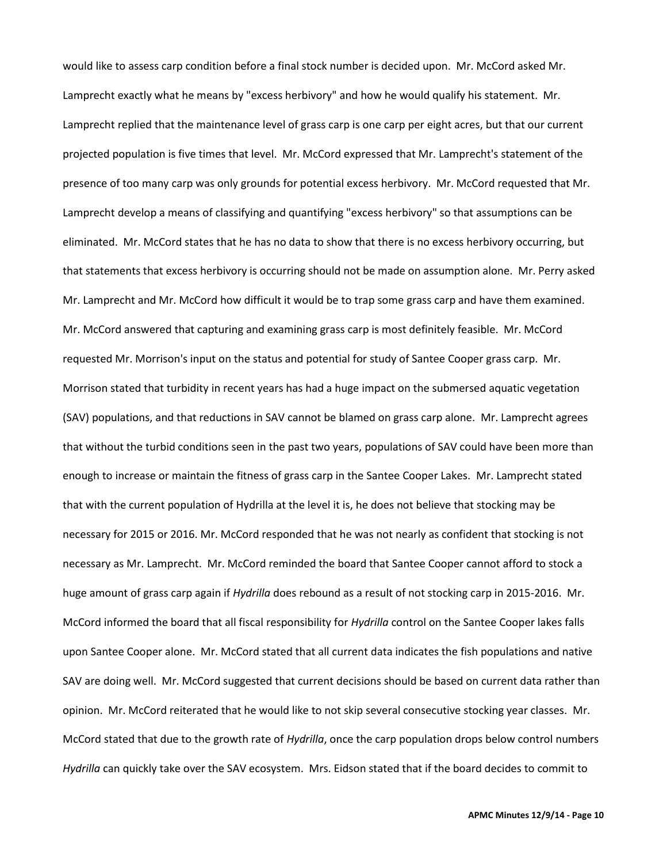would like to assess carp condition before a final stock number is decided upon. Mr. McCord asked Mr. Lamprecht exactly what he means by "excess herbivory" and how he would qualify his statement. Mr. Lamprecht replied that the maintenance level of grass carp is one carp per eight acres, but that our current projected population is five times that level. Mr. McCord expressed that Mr. Lamprecht's statement of the presence of too many carp was only grounds for potential excess herbivory. Mr. McCord requested that Mr. Lamprecht develop a means of classifying and quantifying "excess herbivory" so that assumptions can be eliminated. Mr. McCord states that he has no data to show that there is no excess herbivory occurring, but that statements that excess herbivory is occurring should not be made on assumption alone. Mr. Perry asked Mr. Lamprecht and Mr. McCord how difficult it would be to trap some grass carp and have them examined. Mr. McCord answered that capturing and examining grass carp is most definitely feasible. Mr. McCord requested Mr. Morrison's input on the status and potential for study of Santee Cooper grass carp. Mr. Morrison stated that turbidity in recent years has had a huge impact on the submersed aquatic vegetation (SAV) populations, and that reductions in SAV cannot be blamed on grass carp alone. Mr. Lamprecht agrees that without the turbid conditions seen in the past two years, populations of SAV could have been more than enough to increase or maintain the fitness of grass carp in the Santee Cooper Lakes. Mr. Lamprecht stated that with the current population of Hydrilla at the level it is, he does not believe that stocking may be necessary for 2015 or 2016. Mr. McCord responded that he was not nearly as confident that stocking is not necessary as Mr. Lamprecht. Mr. McCord reminded the board that Santee Cooper cannot afford to stock a huge amount of grass carp again if *Hydrilla* does rebound as a result of not stocking carp in 2015-2016. Mr. McCord informed the board that all fiscal responsibility for *Hydrilla* control on the Santee Cooper lakes falls upon Santee Cooper alone. Mr. McCord stated that all current data indicates the fish populations and native SAV are doing well. Mr. McCord suggested that current decisions should be based on current data rather than opinion. Mr. McCord reiterated that he would like to not skip several consecutive stocking year classes. Mr. McCord stated that due to the growth rate of *Hydrilla*, once the carp population drops below control numbers *Hydrilla* can quickly take over the SAV ecosystem. Mrs. Eidson stated that if the board decides to commit to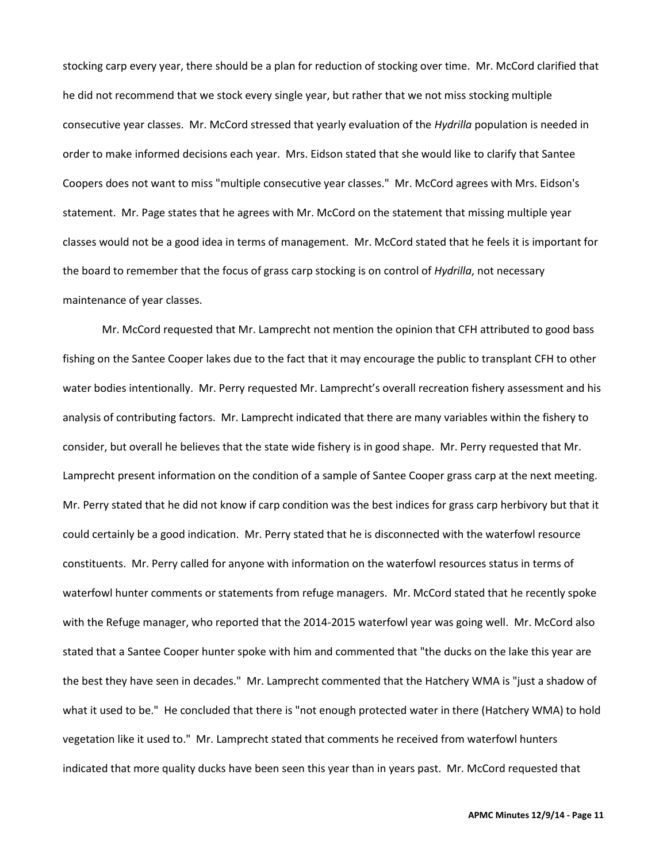stocking carp every year, there should be a plan for reduction of stocking over time. Mr. McCord clarified that he did not recommend that we stock every single year, but rather that we not miss stocking multiple consecutive year classes. Mr. McCord stressed that yearly evaluation of the *Hydrilla* population is needed in order to make informed decisions each year. Mrs. Eidson stated that she would like to clarify that Santee Coopers does not want to miss "multiple consecutive year classes." Mr. McCord agrees with Mrs. Eidson's statement. Mr. Page states that he agrees with Mr. McCord on the statement that missing multiple year classes would not be a good idea in terms of management. Mr. McCord stated that he feels it is important for the board to remember that the focus of grass carp stocking is on control of *Hydrilla*, not necessary maintenance of year classes.

Mr. McCord requested that Mr. Lamprecht not mention the opinion that CFH attributed to good bass fishing on the Santee Cooper lakes due to the fact that it may encourage the public to transplant CFH to other water bodies intentionally. Mr. Perry requested Mr. Lamprecht's overall recreation fishery assessment and his analysis of contributing factors. Mr. Lamprecht indicated that there are many variables within the fishery to consider, but overall he believes that the state wide fishery is in good shape. Mr. Perry requested that Mr. Lamprecht present information on the condition of a sample of Santee Cooper grass carp at the next meeting. Mr. Perry stated that he did not know if carp condition was the best indices for grass carp herbivory but that it could certainly be a good indication. Mr. Perry stated that he is disconnected with the waterfowl resource constituents. Mr. Perry called for anyone with information on the waterfowl resources status in terms of waterfowl hunter comments or statements from refuge managers. Mr. McCord stated that he recently spoke with the Refuge manager, who reported that the 2014-2015 waterfowl year was going well. Mr. McCord also stated that a Santee Cooper hunter spoke with him and commented that "the ducks on the lake this year are the best they have seen in decades." Mr. Lamprecht commented that the Hatchery WMA is "just a shadow of what it used to be." He concluded that there is "not enough protected water in there (Hatchery WMA) to hold vegetation like it used to." Mr. Lamprecht stated that comments he received from waterfowl hunters indicated that more quality ducks have been seen this year than in years past. Mr. McCord requested that